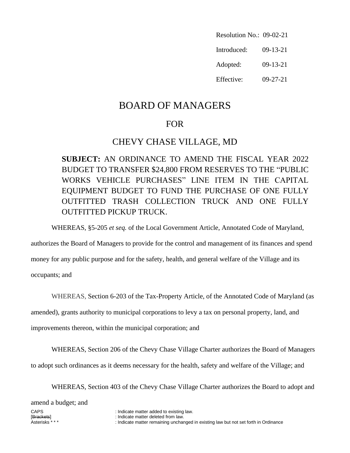Resolution No.: 09-02-21 Introduced: 09-13-21 Adopted: 09-13-21 Effective: 09-27-21

# BOARD OF MANAGERS

### FOR

## CHEVY CHASE VILLAGE, MD

**SUBJECT:** AN ORDINANCE TO AMEND THE FISCAL YEAR 2022 BUDGET TO TRANSFER \$24,800 FROM RESERVES TO THE "PUBLIC WORKS VEHICLE PURCHASES" LINE ITEM IN THE CAPITAL EQUIPMENT BUDGET TO FUND THE PURCHASE OF ONE FULLY OUTFITTED TRASH COLLECTION TRUCK AND ONE FULLY OUTFITTED PICKUP TRUCK.

WHEREAS, §5-205 *et seq.* of the Local Government Article, Annotated Code of Maryland,

authorizes the Board of Managers to provide for the control and management of its finances and spend money for any public purpose and for the safety, health, and general welfare of the Village and its

occupants; and

WHEREAS, Section 6-203 of the Tax-Property Article, of the Annotated Code of Maryland (as

amended), grants authority to municipal corporations to levy a tax on personal property, land, and

improvements thereon, within the municipal corporation; and

WHEREAS, Section 206 of the Chevy Chase Village Charter authorizes the Board of Managers to adopt such ordinances as it deems necessary for the health, safety and welfare of the Village; and

WHEREAS, Section 403 of the Chevy Chase Village Charter authorizes the Board to adopt and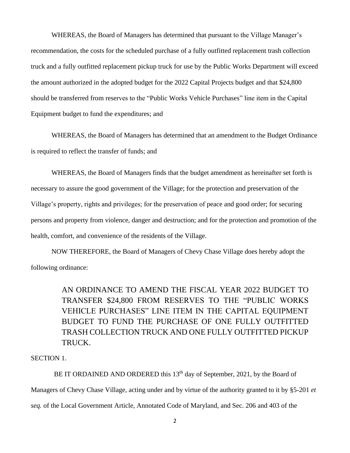WHEREAS, the Board of Managers has determined that pursuant to the Village Manager's recommendation, the costs for the scheduled purchase of a fully outfitted replacement trash collection truck and a fully outfitted replacement pickup truck for use by the Public Works Department will exceed the amount authorized in the adopted budget for the 2022 Capital Projects budget and that \$24,800 should be transferred from reserves to the "Public Works Vehicle Purchases" line item in the Capital Equipment budget to fund the expenditures; and

WHEREAS, the Board of Managers has determined that an amendment to the Budget Ordinance is required to reflect the transfer of funds; and

WHEREAS, the Board of Managers finds that the budget amendment as hereinafter set forth is necessary to assure the good government of the Village; for the protection and preservation of the Village's property, rights and privileges; for the preservation of peace and good order; for securing persons and property from violence, danger and destruction; and for the protection and promotion of the health, comfort, and convenience of the residents of the Village.

NOW THEREFORE, the Board of Managers of Chevy Chase Village does hereby adopt the following ordinance:

> AN ORDINANCE TO AMEND THE FISCAL YEAR 2022 BUDGET TO TRANSFER \$24,800 FROM RESERVES TO THE "PUBLIC WORKS VEHICLE PURCHASES" LINE ITEM IN THE CAPITAL EQUIPMENT BUDGET TO FUND THE PURCHASE OF ONE FULLY OUTFITTED TRASH COLLECTION TRUCK AND ONE FULLY OUTFITTED PICKUP TRUCK.

#### SECTION 1.

BE IT ORDAINED AND ORDERED this  $13<sup>th</sup>$  day of September, 2021, by the Board of Managers of Chevy Chase Village, acting under and by virtue of the authority granted to it by §5-201 *et seq.* of the Local Government Article, Annotated Code of Maryland, and Sec. 206 and 403 of the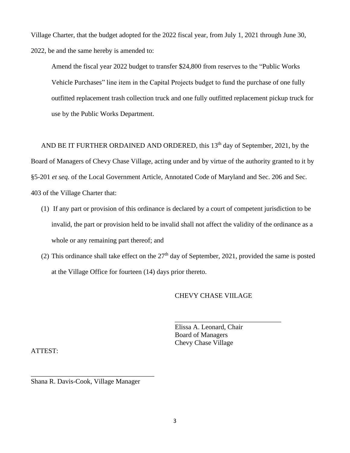Village Charter, that the budget adopted for the 2022 fiscal year, from July 1, 2021 through June 30, 2022, be and the same hereby is amended to:

Amend the fiscal year 2022 budget to transfer \$24,800 from reserves to the "Public Works Vehicle Purchases" line item in the Capital Projects budget to fund the purchase of one fully outfitted replacement trash collection truck and one fully outfitted replacement pickup truck for use by the Public Works Department.

AND BE IT FURTHER ORDAINED AND ORDERED, this  $13<sup>th</sup>$  day of September, 2021, by the Board of Managers of Chevy Chase Village, acting under and by virtue of the authority granted to it by §5-201 *et seq.* of the Local Government Article, Annotated Code of Maryland and Sec. 206 and Sec. 403 of the Village Charter that:

- (1) If any part or provision of this ordinance is declared by a court of competent jurisdiction to be invalid, the part or provision held to be invalid shall not affect the validity of the ordinance as a whole or any remaining part thereof; and
- (2) This ordinance shall take effect on the  $27<sup>th</sup>$  day of September, 2021, provided the same is posted at the Village Office for fourteen (14) days prior thereto.

#### CHEVY CHASE VIILAGE

\_\_\_\_\_\_\_\_\_\_\_\_\_\_\_\_\_\_\_\_\_\_\_\_\_\_\_\_\_\_\_

Elissa A. Leonard, Chair Board of Managers Chevy Chase Village

ATTEST:

Shana R. Davis-Cook, Village Manager

\_\_\_\_\_\_\_\_\_\_\_\_\_\_\_\_\_\_\_\_\_\_\_\_\_\_\_\_\_\_\_\_\_\_\_\_